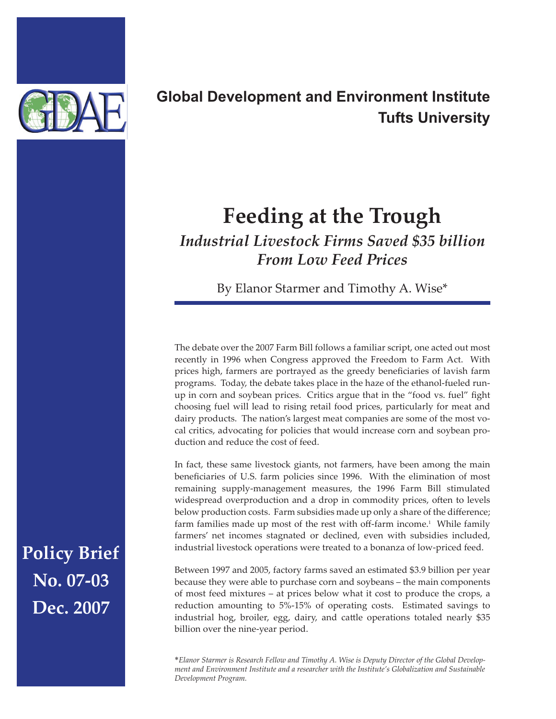

## **Global Development and Environment Institute Tufts University**

## **Feeding at the Trough**

*Industrial Livestock Firms Saved \$35 billion From Low Feed Prices*

By Elanor Starmer and Timothy A. Wise\*

The debate over the 2007 Farm Bill follows a familiar script, one acted out most recently in 1996 when Congress approved the Freedom to Farm Act. With prices high, farmers are portrayed as the greedy beneficiaries of lavish farm programs. Today, the debate takes place in the haze of the ethanol-fueled runup in corn and soybean prices. Critics argue that in the "food vs. fuel" fight choosing fuel will lead to rising retail food prices, particularly for meat and dairy products. The nation's largest meat companies are some of the most vocal critics, advocating for policies that would increase corn and soybean production and reduce the cost of feed.

In fact, these same livestock giants, not farmers, have been among the main beneficiaries of U.S. farm policies since 1996. With the elimination of most remaining supply-management measures, the 1996 Farm Bill stimulated widespread overproduction and a drop in commodity prices, often to levels below production costs. Farm subsidies made up only a share of the difference; farm families made up most of the rest with off-farm income.<sup>1</sup> While family farmers' net incomes stagnated or declined, even with subsidies included, industrial livestock operations were treated to a bonanza of low-priced feed.

Between 1997 and 2005, factory farms saved an estimated \$3.9 billion per year because they were able to purchase corn and soybeans – the main components of most feed mixtures – at prices below what it cost to produce the crops, a reduction amounting to 5%-15% of operating costs. Estimated savings to industrial hog, broiler, egg, dairy, and cattle operations totaled nearly \$35 billion over the nine-year period.

\**Elanor Starmer is Research Fellow and Timothy A. Wise is Deputy Director of the Global Development and Environment Institute and a researcher with the Institute's Globalization and Sustainable Development Program.* 

**Policy Brief No. 07-03 Dec. 2007**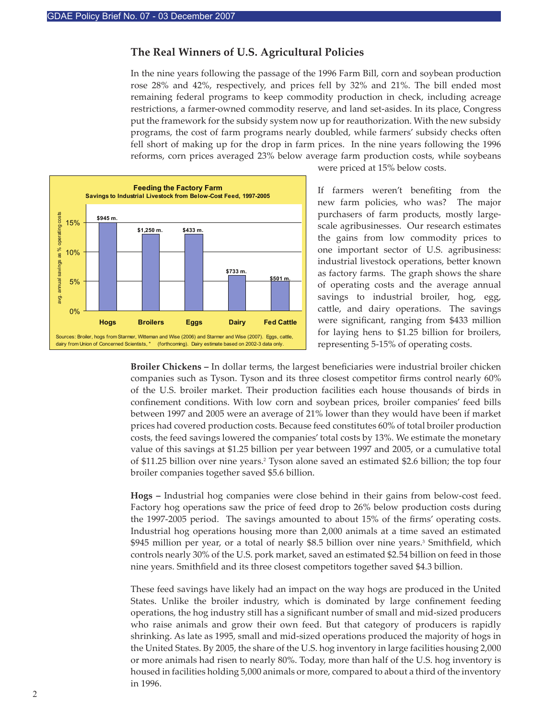## **The Real Winners of U.S. Agricultural Policies**

In the nine years following the passage of the 1996 Farm Bill, corn and soybean production rose 28% and 42%, respectively, and prices fell by 32% and 21%. The bill ended most remaining federal programs to keep commodity production in check, including acreage restrictions, a farmer-owned commodity reserve, and land set-asides. In its place, Congress put the framework for the subsidy system now up for reauthorization. With the new subsidy programs, the cost of farm programs nearly doubled, while farmers' subsidy checks o�en fell short of making up for the drop in farm prices. In the nine years following the 1996 reforms, corn prices averaged 23% below average farm production costs, while soybeans



were priced at 15% below costs.

If farmers weren't benefiting from the new farm policies, who was? The major purchasers of farm products, mostly largescale agribusinesses. Our research estimates the gains from low commodity prices to one important sector of U.S. agribusiness: industrial livestock operations, better known as factory farms. The graph shows the share of operating costs and the average annual savings to industrial broiler, hog, egg, cattle, and dairy operations. The savings were significant, ranging from \$433 million for laying hens to \$1.25 billion for broilers, representing 5-15% of operating costs.

**Broiler Chickens –** In dollar terms, the largest beneficiaries were industrial broiler chicken companies such as Tyson. Tyson and its three closest competitor firms control nearly 60% of the U.S. broiler market. Their production facilities each house thousands of birds in confinement conditions. With low corn and soybean prices, broiler companies' feed bills between 1997 and 2005 were an average of 21% lower than they would have been if market prices had covered production costs. Because feed constitutes 60% of total broiler production costs, the feed savings lowered the companies' total costs by 13%. We estimate the monetary value of this savings at \$1.25 billion per year between 1997 and 2005, or a cumulative total of \$11.25 billion over nine years.2 Tyson alone saved an estimated \$2.6 billion; the top four broiler companies together saved \$5.6 billion.

**Hogs –** Industrial hog companies were close behind in their gains from below-cost feed. Factory hog operations saw the price of feed drop to 26% below production costs during the 1997-2005 period. The savings amounted to about 15% of the firms' operating costs. Industrial hog operations housing more than 2,000 animals at a time saved an estimated \$945 million per year, or a total of nearly \$8.5 billion over nine years.<sup>3</sup> Smithfield, which controls nearly 30% of the U.S. pork market, saved an estimated \$2.54 billion on feed in those nine years. Smithfield and its three closest competitors together saved \$4.3 billion.

These feed savings have likely had an impact on the way hogs are produced in the United States. Unlike the broiler industry, which is dominated by large confinement feeding operations, the hog industry still has a significant number of small and mid-sized producers who raise animals and grow their own feed. But that category of producers is rapidly shrinking. As late as 1995, small and mid-sized operations produced the majority of hogs in the United States. By 2005, the share of the U.S. hog inventory in large facilities housing 2,000 or more animals had risen to nearly 80%. Today, more than half of the U.S. hog inventory is housed in facilities holding 5,000 animals or more, compared to about a third of the inventory in 1996.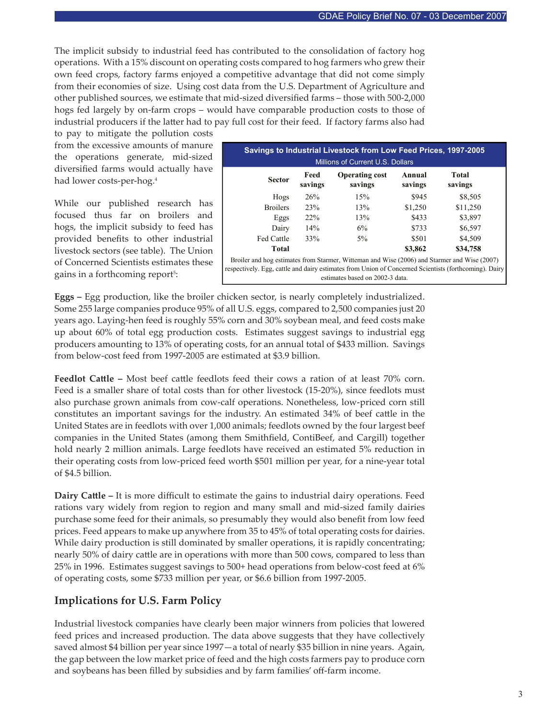The implicit subsidy to industrial feed has contributed to the consolidation of factory hog operations. With a 15% discount on operating costs compared to hog farmers who grew their own feed crops, factory farms enjoyed a competitive advantage that did not come simply from their economies of size. Using cost data from the U.S. Department of Agriculture and other published sources, we estimate that mid-sized diversified farms – those with 500-2,000 hogs fed largely by on-farm crops – would have comparable production costs to those of industrial producers if the latter had to pay full cost for their feed. If factory farms also had

to pay to mitigate the pollution costs from the excessive amounts of manure the operations generate, mid-sized diversified farms would actually have had lower costs-per-hog.4

While our published research has focused thus far on broilers and hogs, the implicit subsidy to feed has provided benefits to other industrial livestock sectors (see table). The Union of Concerned Scientists estimates these gains in a forthcoming report<sup>5</sup>:

| Savings to Industrial Livestock from Low Feed Prices, 1997-2005<br>Millions of Current U.S. Dollars                                                                                                   |                 |                                  |                   |                  |  |
|-------------------------------------------------------------------------------------------------------------------------------------------------------------------------------------------------------|-----------------|----------------------------------|-------------------|------------------|--|
| <b>Sector</b>                                                                                                                                                                                         | Feed<br>savings | <b>Operating cost</b><br>savings | Annual<br>savings | Total<br>savings |  |
| Hogs                                                                                                                                                                                                  | 26%             | 15%                              | \$945             | \$8,505          |  |
| <b>Broilers</b>                                                                                                                                                                                       | 23%             | 13%                              | \$1,250           | \$11,250         |  |
| Eggs                                                                                                                                                                                                  | 22%             | 13%                              | \$433             | \$3,897          |  |
| Dairy                                                                                                                                                                                                 | 14%             | 6%                               | \$733             | \$6,597          |  |
| <b>Fed Cattle</b>                                                                                                                                                                                     | 33%             | $5\%$                            | \$501             | \$4,509          |  |
| Total                                                                                                                                                                                                 |                 |                                  | \$3,862           | \$34,758         |  |
| Broiler and hog estimates from Starmer, Witteman and Wise (2006) and Starmer and Wise (2007)<br>respectively. Egg, cattle and dairy estimates from Union of Concerned Scientists (forthcoming). Dairy |                 |                                  |                   |                  |  |

estimates based on 2002-3 data.

**Eggs –** Egg production, like the broiler chicken sector, is nearly completely industrialized. Some 255 large companies produce 95% of all U.S. eggs, compared to 2,500 companies just 20 years ago. Laying-hen feed is roughly 55% corn and 30% soybean meal, and feed costs make up about 60% of total egg production costs. Estimates suggest savings to industrial egg producers amounting to 13% of operating costs, for an annual total of \$433 million. Savings from below-cost feed from 1997-2005 are estimated at \$3.9 billion.

Feedlot Cattle – Most beef cattle feedlots feed their cows a ration of at least 70% corn. Feed is a smaller share of total costs than for other livestock (15-20%), since feedlots must also purchase grown animals from cow-calf operations. Nonetheless, low-priced corn still constitutes an important savings for the industry. An estimated 34% of beef cattle in the United States are in feedlots with over 1,000 animals; feedlots owned by the four largest beef companies in the United States (among them Smithfield, ContiBeef, and Cargill) together hold nearly 2 million animals. Large feedlots have received an estimated 5% reduction in their operating costs from low-priced feed worth \$501 million per year, for a nine-year total of \$4.5 billion.

**Dairy Cattle – It is more difficult to estimate the gains to industrial dairy operations. Feed** rations vary widely from region to region and many small and mid-sized family dairies purchase some feed for their animals, so presumably they would also benefit from low feed prices. Feed appears to make up anywhere from 35 to 45% of total operating costs for dairies. While dairy production is still dominated by smaller operations, it is rapidly concentrating; nearly 50% of dairy cattle are in operations with more than 500 cows, compared to less than 25% in 1996. Estimates suggest savings to 500+ head operations from below-cost feed at 6% of operating costs, some \$733 million per year, or \$6.6 billion from 1997-2005.

## **Implications for U.S. Farm Policy**

Industrial livestock companies have clearly been major winners from policies that lowered feed prices and increased production. The data above suggests that they have collectively saved almost \$4 billion per year since 1997—a total of nearly \$35 billion in nine years. Again, the gap between the low market price of feed and the high costs farmers pay to produce corn and soybeans has been filled by subsidies and by farm families' off-farm income.